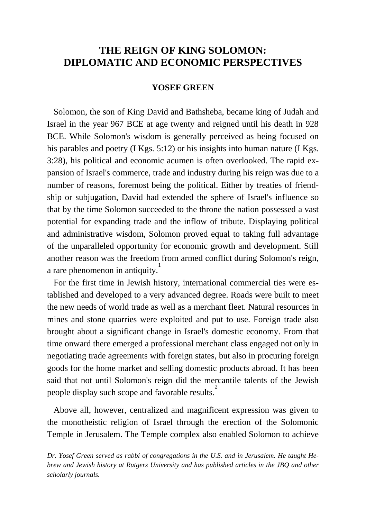# **THE REIGN OF KING SOLOMON: DIPLOMATIC AND ECONOMIC PERSPECTIVES**

## **YOSEF GREEN**

 Solomon, the son of King David and Bathsheba, became king of Judah and Israel in the year 967 BCE at age twenty and reigned until his death in 928 BCE. While Solomon's wisdom is generally perceived as being focused on his parables and poetry (I Kgs. 5:12) or his insights into human nature (I Kgs. 3:28), his political and economic acumen is often overlooked. The rapid expansion of Israel's commerce, trade and industry during his reign was due to a number of reasons, foremost being the political. Either by treaties of friendship or subjugation, David had extended the sphere of Israel's influence so that by the time Solomon succeeded to the throne the nation possessed a vast potential for expanding trade and the inflow of tribute. Displaying political and administrative wisdom, Solomon proved equal to taking full advantage of the unparalleled opportunity for economic growth and development. Still another reason was the freedom from armed conflict during Solomon's reign, a rare phenomenon in antiquity.

 For the first time in Jewish history, international commercial ties were established and developed to a very advanced degree. Roads were built to meet the new needs of world trade as well as a merchant fleet. Natural resources in mines and stone quarries were exploited and put to use. Foreign trade also brought about a significant change in Israel's domestic economy. From that time onward there emerged a professional merchant class engaged not only in negotiating trade agreements with foreign states, but also in procuring foreign goods for the home market and selling domestic products abroad. It has been said that not until Solomon's reign did the mercantile talents of the Jewish people display such scope and favorable results.<sup>2</sup>

 Above all, however, centralized and magnificent expression was given to the monotheistic religion of Israel through the erection of the Solomonic Temple in Jerusalem. The Temple complex also enabled Solomon to achieve

*Dr. Yosef Green served as rabbi of congregations in the U.S. and in Jerusalem. He taught Hebrew and Jewish history at Rutgers University and has published articles in the JBQ and other scholarly journals.*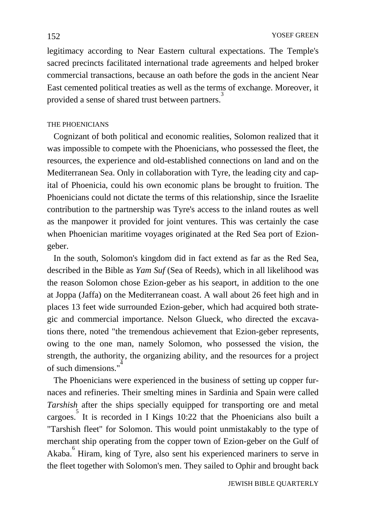legitimacy according to Near Eastern cultural expectations. The Temple's sacred precincts facilitated international trade agreements and helped broker commercial transactions, because an oath before the gods in the ancient Near East cemented political treaties as well as the terms of exchange. Moreover, it provided a sense of shared trust between partners.<sup>3</sup>

## THE PHOENICIANS

 Cognizant of both political and economic realities, Solomon realized that it was impossible to compete with the Phoenicians, who possessed the fleet, the resources, the experience and old-established connections on land and on the Mediterranean Sea. Only in collaboration with Tyre, the leading city and capital of Phoenicia, could his own economic plans be brought to fruition. The Phoenicians could not dictate the terms of this relationship, since the Israelite contribution to the partnership was Tyre's access to the inland routes as well as the manpower it provided for joint ventures. This was certainly the case when Phoenician maritime voyages originated at the Red Sea port of Eziongeber.

 In the south, Solomon's kingdom did in fact extend as far as the Red Sea, described in the Bible as *Yam Suf* (Sea of Reeds), which in all likelihood was the reason Solomon chose Ezion-geber as his seaport, in addition to the one at Joppa (Jaffa) on the Mediterranean coast. A wall about 26 feet high and in places 13 feet wide surrounded Ezion-geber, which had acquired both strategic and commercial importance. Nelson Glueck, who directed the excavations there, noted "the tremendous achievement that Ezion-geber represents, owing to the one man, namely Solomon, who possessed the vision, the strength, the authority, the organizing ability, and the resources for a project of such dimensions." 4

 The Phoenicians were experienced in the business of setting up copper furnaces and refineries. Their smelting mines in Sardinia and Spain were called *Tarshish* after the ships specially equipped for transporting ore and metal cargoes. It is recorded in I Kings  $10:22$  that the Phoenicians also built a "Tarshish fleet" for Solomon. This would point unmistakably to the type of merchant ship operating from the copper town of Ezion-geber on the Gulf of Akaba.<sup>6</sup> Hiram, king of Tyre, also sent his experienced mariners to serve in the fleet together with Solomon's men. They sailed to Ophir and brought back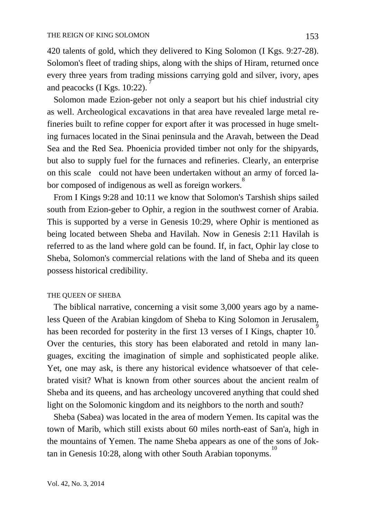420 talents of gold, which they delivered to King Solomon (I Kgs. 9:27-28). Solomon's fleet of trading ships, along with the ships of Hiram, returned once every three years from trading missions carrying gold and silver, ivory, apes and peacocks (I Kgs. 10:22).

 Solomon made Ezion-geber not only a seaport but his chief industrial city as well. Archeological excavations in that area have revealed large metal refineries built to refine copper for export after it was processed in huge smelting furnaces located in the Sinai peninsula and the Aravah, between the Dead Sea and the Red Sea. Phoenicia provided timber not only for the shipyards, but also to supply fuel for the furnaces and refineries. Clearly, an enterprise on this scale could not have been undertaken without an army of forced labor composed of indigenous as well as foreign workers.<sup>8</sup>

 From I Kings 9:28 and 10:11 we know that Solomon's Tarshish ships sailed south from Ezion-geber to Ophir, a region in the southwest corner of Arabia. This is supported by a verse in Genesis 10:29, where Ophir is mentioned as being located between Sheba and Havilah. Now in Genesis 2:11 Havilah is referred to as the land where gold can be found. If, in fact, Ophir lay close to Sheba, Solomon's commercial relations with the land of Sheba and its queen possess historical credibility.

## THE QUEEN OF SHEBA

 The biblical narrative, concerning a visit some 3,000 years ago by a nameless Queen of the Arabian kingdom of Sheba to King Solomon in Jerusalem, has been recorded for posterity in the first 13 verses of I Kings, chapter 10. Over the centuries, this story has been elaborated and retold in many languages, exciting the imagination of simple and sophisticated people alike. Yet, one may ask, is there any historical evidence whatsoever of that celebrated visit? What is known from other sources about the ancient realm of Sheba and its queens, and has archeology uncovered anything that could shed light on the Solomonic kingdom and its neighbors to the north and south?

 Sheba (Sabea) was located in the area of modern Yemen. Its capital was the town of Marib, which still exists about 60 miles north-east of San'a, high in the mountains of Yemen. The name Sheba appears as one of the sons of Joktan in Genesis 10:28, along with other South Arabian toponyms.<sup>1</sup>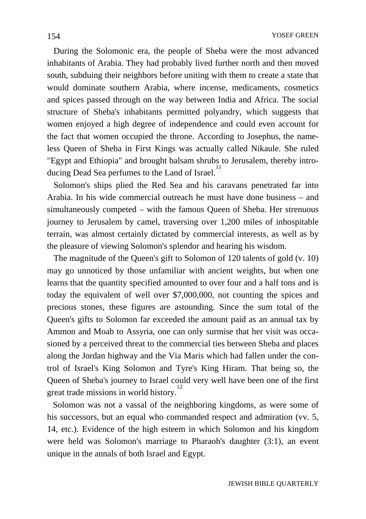During the Solomonic era, the people of Sheba were the most advanced inhabitants of Arabia. They had probably lived further north and then moved south, subduing their neighbors before uniting with them to create a state that would dominate southern Arabia, where incense, medicaments, cosmetics and spices passed through on the way between India and Africa. The social structure of Sheba's inhabitants permitted polyandry, which suggests that women enjoyed a high degree of independence and could even account for the fact that women occupied the throne. According to Josephus, the nameless Queen of Sheba in First Kings was actually called Nikaule. She ruled "Egypt and Ethiopia" and brought balsam shrubs to Jerusalem, thereby introducing Dead Sea perfumes to the Land of Israel.<sup>11</sup>

 Solomon's ships plied the Red Sea and his caravans penetrated far into Arabia. In his wide commercial outreach he must have done business – and simultaneously competed – with the famous Queen of Sheba. Her strenuous journey to Jerusalem by camel, traversing over 1,200 miles of inhospitable terrain, was almost certainly dictated by commercial interests, as well as by the pleasure of viewing Solomon's splendor and hearing his wisdom.

 The magnitude of the Queen's gift to Solomon of 120 talents of gold (v. 10) may go unnoticed by those unfamiliar with ancient weights, but when one learns that the quantity specified amounted to over four and a half tons and is today the equivalent of well over \$7,000,000, not counting the spices and precious stones, these figures are astounding. Since the sum total of the Queen's gifts to Solomon far exceeded the amount paid as an annual tax by Ammon and Moab to Assyria, one can only surmise that her visit was occasioned by a perceived threat to the commercial ties between Sheba and places along the Jordan highway and the Via Maris which had fallen under the control of Israel's King Solomon and Tyre's King Hiram. That being so, the Queen of Sheba's journey to Israel could very well have been one of the first great trade missions in world history.<sup>1</sup>

 Solomon was not a vassal of the neighboring kingdoms, as were some of his successors, but an equal who commanded respect and admiration (vv. 5, 14, etc.). Evidence of the high esteem in which Solomon and his kingdom were held was Solomon's marriage to Pharaoh's daughter (3:1), an event unique in the annals of both Israel and Egypt.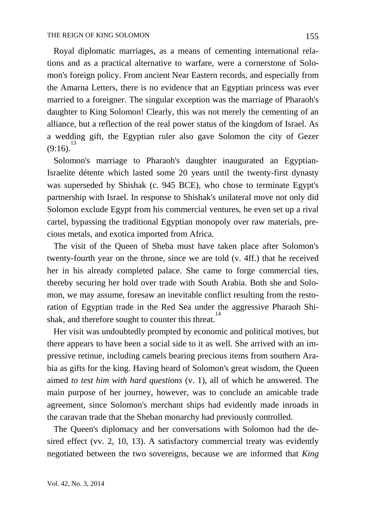Royal diplomatic marriages, as a means of cementing international relations and as a practical alternative to warfare, were a cornerstone of Solomon's foreign policy. From ancient Near Eastern records, and especially from the Amarna Letters, there is no evidence that an Egyptian princess was ever married to a foreigner. The singular exception was the marriage of Pharaoh's daughter to King Solomon! Clearly, this was not merely the cementing of an alliance, but a reflection of the real power status of the kingdom of Israel. As a wedding gift, the Egyptian ruler also gave Solomon the city of Gezer  $(9:16).$ <sup>13</sup>

 Solomon's marriage to Pharaoh's daughter inaugurated an Egyptian-Israelite détente which lasted some 20 years until the twenty-first dynasty was superseded by Shishak (c. 945 BCE), who chose to terminate Egypt's partnership with Israel. In response to Shishak's unilateral move not only did Solomon exclude Egypt from his commercial ventures, he even set up a rival cartel, bypassing the traditional Egyptian monopoly over raw materials, precious metals, and exotica imported from Africa.

 The visit of the Queen of Sheba must have taken place after Solomon's twenty-fourth year on the throne, since we are told (v. 4ff.) that he received her in his already completed palace. She came to forge commercial ties, thereby securing her hold over trade with South Arabia. Both she and Solomon, we may assume, foresaw an inevitable conflict resulting from the restoration of Egyptian trade in the Red Sea under the aggressive Pharaoh Shishak, and therefore sought to counter this threat.<sup>1</sup>

 Her visit was undoubtedly prompted by economic and political motives, but there appears to have been a social side to it as well. She arrived with an impressive retinue, including camels bearing precious items from southern Arabia as gifts for the king. Having heard of Solomon's great wisdom, the Queen aimed *to test him with hard questions* (v. 1), all of which he answered. The main purpose of her journey, however, was to conclude an amicable trade agreement, since Solomon's merchant ships had evidently made inroads in the caravan trade that the Sheban monarchy had previously controlled.

 The Queen's diplomacy and her conversations with Solomon had the desired effect (vv. 2, 10, 13). A satisfactory commercial treaty was evidently negotiated between the two sovereigns, because we are informed that *King*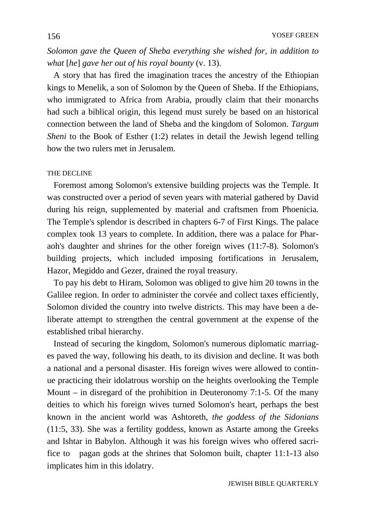*Solomon gave the Queen of Sheba everything she wished for, in addition to what* [*he*] *gave her out of his royal bounty* (v. 13).

 A story that has fired the imagination traces the ancestry of the Ethiopian kings to Menelik, a son of Solomon by the Queen of Sheba. If the Ethiopians, who immigrated to Africa from Arabia, proudly claim that their monarchs had such a biblical origin, this legend must surely be based on an historical connection between the land of Sheba and the kingdom of Solomon. *Targum Sheni* to the Book of Esther (1:2) relates in detail the Jewish legend telling how the two rulers met in Jerusalem.

### THE DECLINE

 Foremost among Solomon's extensive building projects was the Temple. It was constructed over a period of seven years with material gathered by David during his reign, supplemented by material and craftsmen from Phoenicia. The Temple's splendor is described in chapters 6-7 of First Kings. The palace complex took 13 years to complete. In addition, there was a palace for Pharaoh's daughter and shrines for the other foreign wives (11:7-8). Solomon's building projects, which included imposing fortifications in Jerusalem, Hazor, Megiddo and Gezer, drained the royal treasury.

 To pay his debt to Hiram, Solomon was obliged to give him 20 towns in the Galilee region. In order to administer the corvée and collect taxes efficiently, Solomon divided the country into twelve districts. This may have been a deliberate attempt to strengthen the central government at the expense of the established tribal hierarchy.

 Instead of securing the kingdom, Solomon's numerous diplomatic marriages paved the way, following his death, to its division and decline. It was both a national and a personal disaster. His foreign wives were allowed to continue practicing their idolatrous worship on the heights overlooking the Temple Mount – in disregard of the prohibition in Deuteronomy 7:1-5. Of the many deities to which his foreign wives turned Solomon's heart, perhaps the best known in the ancient world was Ashtoreth, *the goddess of the Sidonians*  (11:5, 33). She was a fertility goddess, known as Astarte among the Greeks and Ishtar in Babylon. Although it was his foreign wives who offered sacrifice to pagan gods at the shrines that Solomon built, chapter 11:1-13 also implicates him in this idolatry.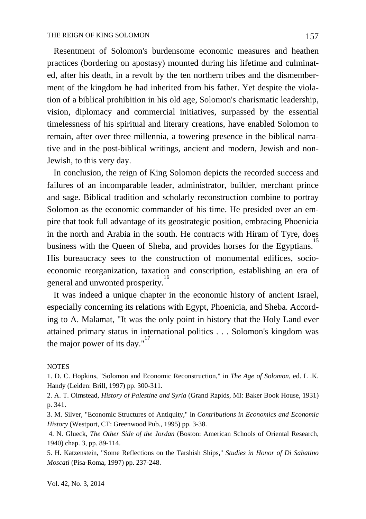Resentment of Solomon's burdensome economic measures and heathen practices (bordering on apostasy) mounted during his lifetime and culminated, after his death, in a revolt by the ten northern tribes and the dismemberment of the kingdom he had inherited from his father. Yet despite the violation of a biblical prohibition in his old age, Solomon's charismatic leadership, vision, diplomacy and commercial initiatives, surpassed by the essential timelessness of his spiritual and literary creations, have enabled Solomon to remain, after over three millennia, a towering presence in the biblical narrative and in the post-biblical writings, ancient and modern, Jewish and non-Jewish, to this very day.

 In conclusion, the reign of King Solomon depicts the recorded success and failures of an incomparable leader, administrator, builder, merchant prince and sage. Biblical tradition and scholarly reconstruction combine to portray Solomon as the economic commander of his time. He presided over an empire that took full advantage of its geostrategic position, embracing Phoenicia in the north and Arabia in the south. He contracts with Hiram of Tyre, does business with the Queen of Sheba, and provides horses for the Egyptians.<sup>1</sup> His bureaucracy sees to the construction of monumental edifices, socioeconomic reorganization, taxation and conscription, establishing an era of general and unwonted prosperity.<sup>16</sup>

 It was indeed a unique chapter in the economic history of ancient Israel, especially concerning its relations with Egypt, Phoenicia, and Sheba. According to A. Malamat, "It was the only point in history that the Holy Land ever attained primary status in international politics . . . Solomon's kingdom was the major power of its day." $17$ 

#### **NOTES**

1. D. C. Hopkins, "Solomon and Economic Reconstruction," in *The Age of Solomon*, ed. L .K. Handy (Leiden: Brill, 1997) pp. 300-311.

2. A. T. Olmstead, *History of Palestine and Syria* (Grand Rapids, MI: Baker Book House, 1931) p. 341.

3. M. Silver, "Economic Structures of Antiquity," in *Contributions in Economics and Economic History* (Westport, CT: Greenwood Pub., 1995) pp. 3-38.

4. N. Glueck, *The Other Side of the Jordan* (Boston: American Schools of Oriental Research, 1940) chap. 3, pp. 89-114.

5. H. Katzenstein, "Some Reflections on the Tarshish Ships," *Studies in Honor of Di Sabatino Moscati* (Pisa-Roma, 1997) pp. 237-248.